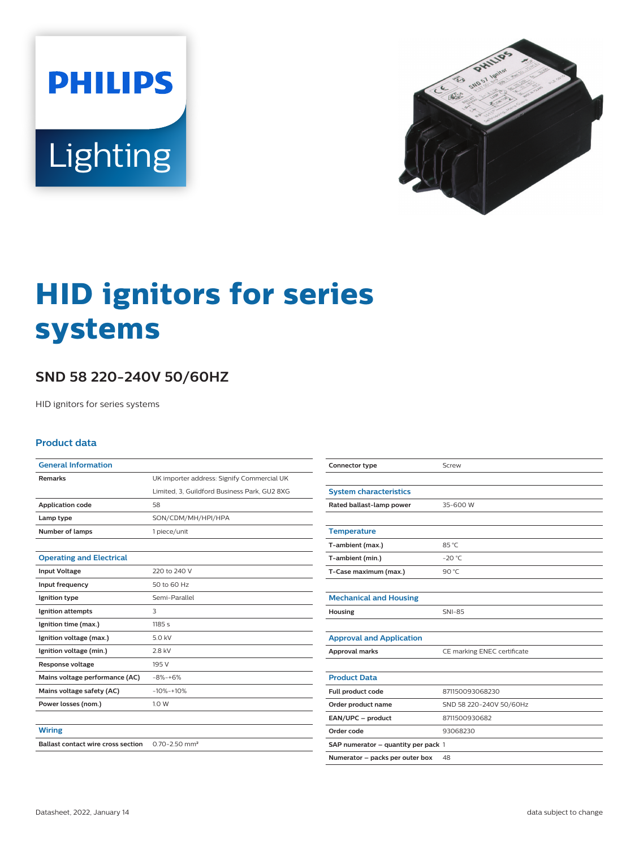**PHILIPS** Lighting



# **HID ignitors for series systems**

## **SND 58 220-240V 50/60HZ**

HID ignitors for series systems

#### **Product data**

| <b>General Information</b>                |                                              |  |  |  |
|-------------------------------------------|----------------------------------------------|--|--|--|
| <b>Remarks</b>                            | UK importer address: Signify Commercial UK   |  |  |  |
|                                           | Limited, 3, Guildford Business Park, GU2 8XG |  |  |  |
| <b>Application code</b>                   | 58                                           |  |  |  |
| Lamp type                                 | SON/CDM/MH/HPI/HPA                           |  |  |  |
| Number of lamps                           | 1 piece/unit                                 |  |  |  |
|                                           |                                              |  |  |  |
| <b>Operating and Electrical</b>           |                                              |  |  |  |
| <b>Input Voltage</b>                      | 220 to 240 V                                 |  |  |  |
| Input frequency                           | 50 to 60 Hz                                  |  |  |  |
| Ignition type                             | Semi-Parallel                                |  |  |  |
| Ignition attempts                         | 3                                            |  |  |  |
| Ignition time (max.)                      | 1185s                                        |  |  |  |
| Ignition voltage (max.)                   | 5.0 kV                                       |  |  |  |
| Ignition voltage (min.)                   | 2.8 kV                                       |  |  |  |
| Response voltage                          | 195 V                                        |  |  |  |
| Mains voltage performance (AC)            | $-8% -+6%$                                   |  |  |  |
| Mains voltage safety (AC)                 | $-10% -10%$                                  |  |  |  |
| Power losses (nom.)                       | 1.0 W                                        |  |  |  |
|                                           |                                              |  |  |  |
| <b>Wiring</b>                             |                                              |  |  |  |
| <b>Ballast contact wire cross section</b> | $0.70 - 2.50$ mm <sup>2</sup>                |  |  |  |

| Connector type                      | Screw                       |  |  |  |
|-------------------------------------|-----------------------------|--|--|--|
|                                     |                             |  |  |  |
| <b>System characteristics</b>       |                             |  |  |  |
| Rated ballast-lamp power            | 35-600 W                    |  |  |  |
|                                     |                             |  |  |  |
| <b>Temperature</b>                  |                             |  |  |  |
| T-ambient (max.)                    | 85 °C                       |  |  |  |
| T-ambient (min.)                    | $-20 °C$                    |  |  |  |
| T-Case maximum (max.)               | 90 °C                       |  |  |  |
|                                     |                             |  |  |  |
| <b>Mechanical and Housing</b>       |                             |  |  |  |
| Housing                             | <b>SNI-85</b>               |  |  |  |
|                                     |                             |  |  |  |
| <b>Approval and Application</b>     |                             |  |  |  |
| <b>Approval marks</b>               | CE marking ENEC certificate |  |  |  |
|                                     |                             |  |  |  |
| <b>Product Data</b>                 |                             |  |  |  |
| Full product code                   | 871150093068230             |  |  |  |
| Order product name                  | SND 58 220-240V 50/60Hz     |  |  |  |
| EAN/UPC - product                   | 8711500930682               |  |  |  |
| Order code                          | 93068230                    |  |  |  |
| SAP numerator - quantity per pack 1 |                             |  |  |  |
| Numerator - packs per outer box     | 48                          |  |  |  |